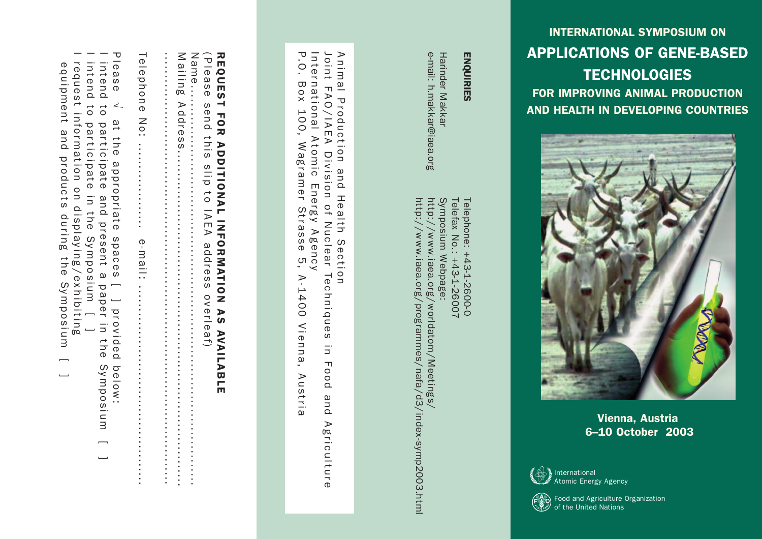#### INTERNATIONAL SYMPOSIUM ON APPLICATIONS OF GENE-BASED **TECHNOLOGIES** FOR IMPROVING ANIMAL PRODUCTION AND HEALTH IN DEVELOPING COUNTRIES

e-mail: h.makkar@iaea.org

Harinder Makkar<br>e-mail: h.makkar@iaea.org

http://www.iaea.org/programmes/nafa/d3/index-symp2003.html

http://www.iaea.org/programmes/nafa/d3/index-symp2003.html

http://www.iaea.org/worldatom/Meetings/

http://www.iaea.org/worldatom/Meetings/

Symposium Webpage: Telefax No.: +43-1-26007 Telephone: +43-1-2600-0

Telefax No.:

+43-1-26007

Telephone: +43-1-2600-0

Symposium Webpage:

Harinder Makkar

ENQUIRIES

ENQUIRIES



Vienna, Austria 6–10 October 2003



(FVÇ Food and Agriculture Organization of the United Nations